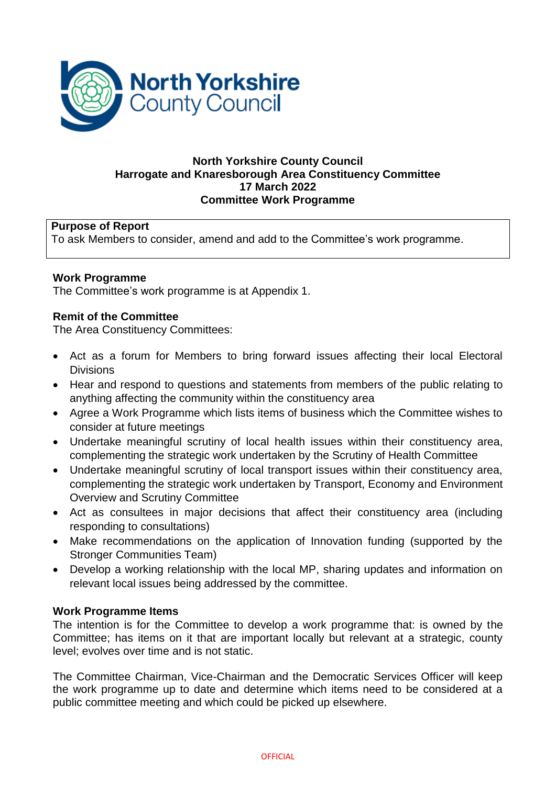

# **North Yorkshire County Council Harrogate and Knaresborough Area Constituency Committee 17 March 2022 Committee Work Programme**

# **Purpose of Report**

To ask Members to consider, amend and add to the Committee's work programme.

## **Work Programme**

The Committee's work programme is at Appendix 1.

## **Remit of the Committee**

The Area Constituency Committees:

- Act as a forum for Members to bring forward issues affecting their local Electoral **Divisions**
- Hear and respond to questions and statements from members of the public relating to anything affecting the community within the constituency area
- Agree a Work Programme which lists items of business which the Committee wishes to consider at future meetings
- Undertake meaningful scrutiny of local health issues within their constituency area, complementing the strategic work undertaken by the Scrutiny of Health Committee
- Undertake meaningful scrutiny of local transport issues within their constituency area, complementing the strategic work undertaken by Transport, Economy and Environment Overview and Scrutiny Committee
- Act as consultees in major decisions that affect their constituency area (including responding to consultations)
- Make recommendations on the application of Innovation funding (supported by the Stronger Communities Team)
- Develop a working relationship with the local MP, sharing updates and information on relevant local issues being addressed by the committee.

## **Work Programme Items**

The intention is for the Committee to develop a work programme that: is owned by the Committee; has items on it that are important locally but relevant at a strategic, county level; evolves over time and is not static.

The Committee Chairman, Vice-Chairman and the Democratic Services Officer will keep the work programme up to date and determine which items need to be considered at a public committee meeting and which could be picked up elsewhere.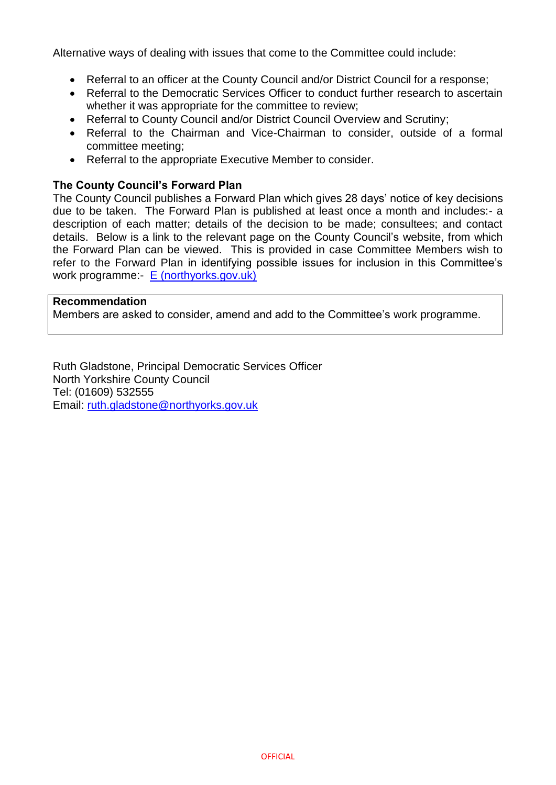Alternative ways of dealing with issues that come to the Committee could include:

- Referral to an officer at the County Council and/or District Council for a response;
- Referral to the Democratic Services Officer to conduct further research to ascertain whether it was appropriate for the committee to review;
- Referral to County Council and/or District Council Overview and Scrutiny;
- Referral to the Chairman and Vice-Chairman to consider, outside of a formal committee meeting;
- Referral to the appropriate Executive Member to consider.

#### **The County Council's Forward Plan**

The County Council publishes a Forward Plan which gives 28 days' notice of key decisions due to be taken. The Forward Plan is published at least once a month and includes:- a description of each matter; details of the decision to be made; consultees; and contact details. Below is a link to the relevant page on the County Council's website, from which the Forward Plan can be viewed. This is provided in case Committee Members wish to refer to the Forward Plan in identifying possible issues for inclusion in this Committee's work programme:- [E \(northyorks.gov.uk\)](https://edemocracy.northyorks.gov.uk/documents/l159/Printed%20plan%20Forward%20Plan%20-%2013%20December%202021%20to%2031%20December%202022.pdf?T=4)

#### **Recommendation**

Members are asked to consider, amend and add to the Committee's work programme.

Ruth Gladstone, Principal Democratic Services Officer North Yorkshire County Council Tel: (01609) 532555 Email: [ruth.gladstone@northyorks.gov.uk](mailto:ruth.gladstone@northyorks.gov.uk)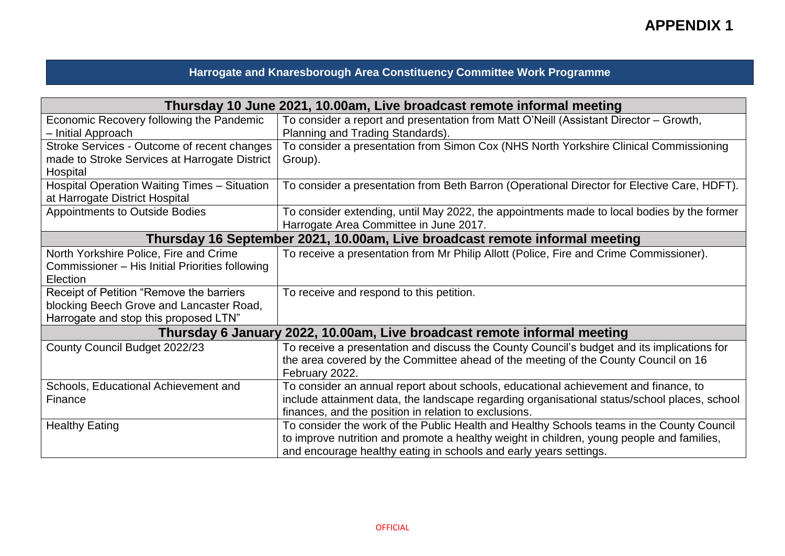**APPENDIX 1**

# **Harrogate and Knaresborough Area Constituency Committee Work Programme**

| Thursday 10 June 2021, 10.00am, Live broadcast remote informal meeting         |                                                                                              |
|--------------------------------------------------------------------------------|----------------------------------------------------------------------------------------------|
| Economic Recovery following the Pandemic                                       | To consider a report and presentation from Matt O'Neill (Assistant Director – Growth,        |
| - Initial Approach                                                             | Planning and Trading Standards).                                                             |
| Stroke Services - Outcome of recent changes                                    | To consider a presentation from Simon Cox (NHS North Yorkshire Clinical Commissioning        |
| made to Stroke Services at Harrogate District                                  | Group).                                                                                      |
| Hospital                                                                       |                                                                                              |
| Hospital Operation Waiting Times - Situation<br>at Harrogate District Hospital | To consider a presentation from Beth Barron (Operational Director for Elective Care, HDFT).  |
| <b>Appointments to Outside Bodies</b>                                          | To consider extending, until May 2022, the appointments made to local bodies by the former   |
|                                                                                | Harrogate Area Committee in June 2017.                                                       |
| Thursday 16 September 2021, 10.00am, Live broadcast remote informal meeting    |                                                                                              |
| North Yorkshire Police, Fire and Crime                                         | To receive a presentation from Mr Philip Allott (Police, Fire and Crime Commissioner).       |
| Commissioner – His Initial Priorities following                                |                                                                                              |
| Election                                                                       |                                                                                              |
| Receipt of Petition "Remove the barriers                                       | To receive and respond to this petition.                                                     |
| blocking Beech Grove and Lancaster Road,                                       |                                                                                              |
| Harrogate and stop this proposed LTN"                                          |                                                                                              |
| Thursday 6 January 2022, 10.00am, Live broadcast remote informal meeting       |                                                                                              |
| County Council Budget 2022/23                                                  | To receive a presentation and discuss the County Council's budget and its implications for   |
|                                                                                | the area covered by the Committee ahead of the meeting of the County Council on 16           |
|                                                                                | February 2022.                                                                               |
| Schools, Educational Achievement and                                           | To consider an annual report about schools, educational achievement and finance, to          |
| Finance                                                                        | include attainment data, the landscape regarding organisational status/school places, school |
|                                                                                | finances, and the position in relation to exclusions.                                        |
| <b>Healthy Eating</b>                                                          | To consider the work of the Public Health and Healthy Schools teams in the County Council    |
|                                                                                | to improve nutrition and promote a healthy weight in children, young people and families,    |
|                                                                                | and encourage healthy eating in schools and early years settings.                            |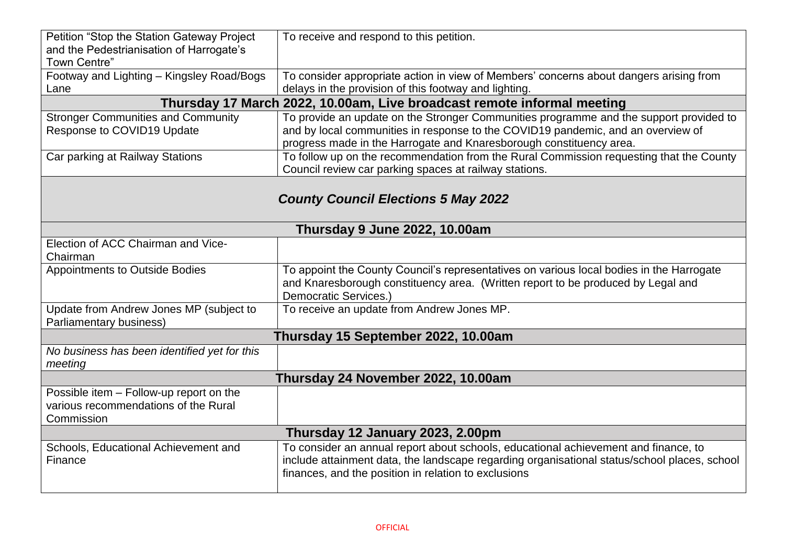| Petition "Stop the Station Gateway Project<br>and the Pedestrianisation of Harrogate's<br>Town Centre" | To receive and respond to this petition.                                                     |  |
|--------------------------------------------------------------------------------------------------------|----------------------------------------------------------------------------------------------|--|
| Footway and Lighting - Kingsley Road/Bogs                                                              | To consider appropriate action in view of Members' concerns about dangers arising from       |  |
| Lane                                                                                                   | delays in the provision of this footway and lighting.                                        |  |
| Thursday 17 March 2022, 10.00am, Live broadcast remote informal meeting                                |                                                                                              |  |
| <b>Stronger Communities and Community</b>                                                              | To provide an update on the Stronger Communities programme and the support provided to       |  |
| Response to COVID19 Update                                                                             | and by local communities in response to the COVID19 pandemic, and an overview of             |  |
|                                                                                                        | progress made in the Harrogate and Knaresborough constituency area.                          |  |
| Car parking at Railway Stations                                                                        | To follow up on the recommendation from the Rural Commission requesting that the County      |  |
|                                                                                                        | Council review car parking spaces at railway stations.                                       |  |
|                                                                                                        |                                                                                              |  |
| <b>County Council Elections 5 May 2022</b>                                                             |                                                                                              |  |
|                                                                                                        |                                                                                              |  |
| <b>Thursday 9 June 2022, 10.00am</b>                                                                   |                                                                                              |  |
| Election of ACC Chairman and Vice-                                                                     |                                                                                              |  |
| Chairman                                                                                               |                                                                                              |  |
| <b>Appointments to Outside Bodies</b>                                                                  | To appoint the County Council's representatives on various local bodies in the Harrogate     |  |
|                                                                                                        | and Knaresborough constituency area. (Written report to be produced by Legal and             |  |
|                                                                                                        | Democratic Services.)                                                                        |  |
| Update from Andrew Jones MP (subject to                                                                | To receive an update from Andrew Jones MP.                                                   |  |
| <b>Parliamentary business)</b>                                                                         |                                                                                              |  |
|                                                                                                        | Thursday 15 September 2022, 10.00am                                                          |  |
| No business has been identified yet for this<br>meeting                                                |                                                                                              |  |
|                                                                                                        | Thursday 24 November 2022, 10.00am                                                           |  |
| Possible item - Follow-up report on the                                                                |                                                                                              |  |
| various recommendations of the Rural                                                                   |                                                                                              |  |
| Commission                                                                                             |                                                                                              |  |
| Thursday 12 January 2023, 2.00pm                                                                       |                                                                                              |  |
| Schools, Educational Achievement and                                                                   | To consider an annual report about schools, educational achievement and finance, to          |  |
| Finance                                                                                                | include attainment data, the landscape regarding organisational status/school places, school |  |
|                                                                                                        | finances, and the position in relation to exclusions                                         |  |
|                                                                                                        |                                                                                              |  |